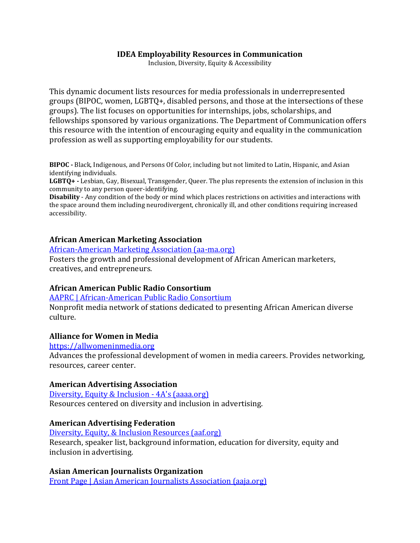#### **IDEA Employability Resources in Communication**

Inclusion, Diversity, Equity & Accessibility

This dynamic document lists resources for media professionals in underrepresented groups (BIPOC, women, LGBTQ+, disabled persons, and those at the intersections of these groups). The list focuses on opportunities for internships, jobs, scholarships, and fellowships sponsored by various organizations. The Department of Communication offers this resource with the intention of encouraging equity and equality in the communication profession as well as supporting employability for our students.

**BIPOC -** Black, Indigenous, and Persons Of Color, including but not limited to Latin, Hispanic, and Asian identifying individuals.

**LGBTQ+ -** Lesbian, Gay, Bisexual, Transgender, Queer. The plus represents the extension of inclusion in this community to any person queer-identifying.

**Disability** - Any condition of the body or mind which places restrictions on activities and interactions with the space around them including neurodivergent, chronically ill, and other conditions requiring increased accessibility.

#### **African American Marketing Association**

[African-American Marketing Association \(aa-ma.org\)](https://www.aa-ma.org/)

Fosters the growth and professional development of African American marketers, creatives, and entrepreneurs.

### **African American Public Radio Consortium**

[AAPRC | African-American Public Radio Consortium](https://aaprc.org/)

Nonprofit media network of stations dedicated to presenting African American diverse culture.

### **Alliance for Women in Media**

[https://allwomeninmedia.org](https://allwomeninmedia.org/)

Advances the professional development of women in media careers. Provides networking, resources, career center.

#### **American Advertising Association**

[Diversity, Equity & Inclusion -](https://www.aaaa.org/diversity-equity-inclusion-resources/) 4A's (aaaa.org) Resources centered on diversity and inclusion in advertising.

### **American Advertising Federation**

[Diversity, Equity, & Inclusion Resources \(aaf.org\)](https://aaf.org/Public/Education-and-Resources/Diversity-Equity-Inclusion/Diversity--Equity---Inclusion-Resources.aspx?WebsiteKey=6ce8e679-e7a1-4e6c-998f-86ffa5ce0dc1) Research, speaker list, background information, education for diversity, equity and inclusion in advertising.

**Asian American Journalists Organization** [Front Page | Asian American Journalists Association \(aaja.org\)](https://www.aaja.org/)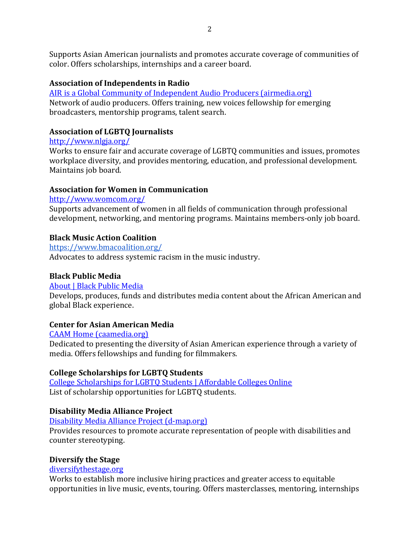Supports Asian American journalists and promotes accurate coverage of communities of color. Offers scholarships, internships and a career board.

# **Association of Independents in Radio**

[AIR is a Global Community of Independent Audio Producers \(airmedia.org\)](https://airmedia.org/) Network of audio producers. Offers training, new voices fellowship for emerging broadcasters, mentorship programs, talent search.

# **Association of LGBTQ Journalists**

# <http://www.nlgja.org/>

Works to ensure fair and accurate coverage of LGBTQ communities and issues, promotes workplace diversity, and provides mentoring, education, and professional development. Maintains job board.

# **Association for Women in Communication**

# <http://www.womcom.org/>

Supports advancement of women in all fields of communication through professional development, networking, and mentoring programs. Maintains members-only job board.

# **Black Music Action Coalition**

<https://www.bmacoalition.org/>

Advocates to address systemic racism in the music industry.

# **Black Public Media**

# [About | Black Public Media](https://blackpublicmedia.org/about/)

Develops, produces, funds and distributes media content about the African American and global Black experience.

# **Center for Asian American Media**

# [CAAM Home \(caamedia.org\)](https://caamedia.org/)

Dedicated to presenting the diversity of Asian American experience through a variety of media. Offers fellowships and funding for filmmakers.

# **College Scholarships for LGBTQ Students**

[College Scholarships for LGBTQ Students | Affordable Colleges Online](https://www.affordablecollegesonline.org/college-resource-center/lgbtq-scholarships-financial-aid/) List of scholarship opportunities for LGBTQ students.

# **Disability Media Alliance Project**

[Disability Media Alliance Project \(d-map.org\)](https://d-map.org/)

Provides resources to promote accurate representation of people with disabilities and counter stereotyping.

# **Diversify the Stage**

# [diversifythestage.org](https://www.diversifythestage.org/)

Works to establish more inclusive hiring practices and greater access to equitable opportunities in live music, events, touring. Offers masterclasses, mentoring, internships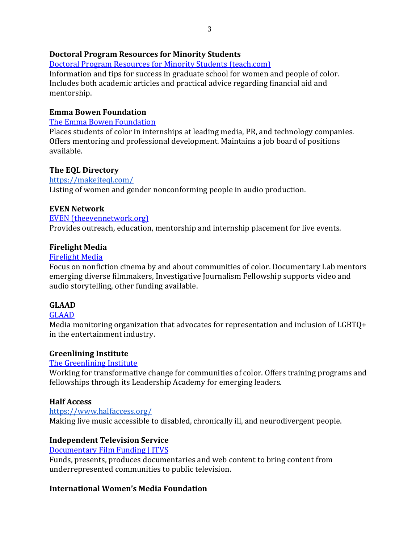### **Doctoral Program Resources for Minority Students**

[Doctoral Program Resources for Minority Students \(teach.com\)](https://teach.com/resources/minority-students-doctoral-resources/) Information and tips for success in graduate school for women and people of color. Includes both academic articles and practical advice regarding financial aid and mentorship.

### **Emma Bowen Foundation**

### [The Emma Bowen Foundation](https://www.emmabowenfoundation.com/)

Places students of color in internships at leading media, PR, and technology companies. Offers mentoring and professional development. Maintains a job board of positions available.

### **The EQL Directory**

<https://makeiteql.com/> Listing of women and gender nonconforming people in audio production.

### **EVEN Network**

### [EVEN \(theevennetwork.org\)](https://theevennetwork.org/)

Provides outreach, education, mentorship and internship placement for live events.

### **Firelight Media**

### [Firelight Media](http://www.firelightmedia.tv/)

Focus on nonfiction cinema by and about communities of color. Documentary Lab mentors emerging diverse filmmakers, Investigative Journalism Fellowship supports video and audio storytelling, other funding available.

# **GLAAD**

# [GLAAD](https://www.glaad.org/)

Media monitoring organization that advocates for representation and inclusion of LGBTQ+ in the entertainment industry.

### **Greenlining Institute**

### [The Greenlining Institute](https://greenlining.org/)

Working for transformative change for communities of color. Offers training programs and fellowships through its Leadership Academy for emerging leaders.

# **Half Access**

<https://www.halfaccess.org/>

Making live music accessible to disabled, chronically ill, and neurodivergent people.

# **Independent Television Service**

### [Documentary Film Funding | ITVS](http://itvs.org/)

Funds, presents, produces documentaries and web content to bring content from underrepresented communities to public television.

### **International Women's Media Foundation**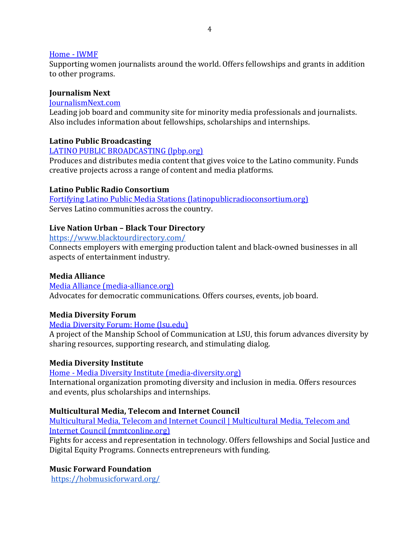#### [Home -](https://www.iwmf.org/) IWMF

Supporting women journalists around the world. Offers fellowships and grants in addition to other programs.

#### **Journalism Next**

#### [JournalismNext.com](https://www.journalismnext.com/)

Leading job board and community site for minority media professionals and journalists. Also includes information about fellowships, scholarships and internships.

### **Latino Public Broadcasting**

#### [LATINO PUBLIC BROADCASTING \(lpbp.org\)](https://lpbp.org/)

Produces and distributes media content that gives voice to the Latino community. Funds creative projects across a range of content and media platforms.

#### **Latino Public Radio Consortium**

[Fortifying Latino Public Media Stations \(latinopublicradioconsortium.org\)](https://latinopublicradioconsortium.org/) Serves Latino communities across the country.

#### **Live Nation Urban – Black Tour Directory**

#### <https://www.blacktourdirectory.com/>

Connects employers with emerging production talent and black-owned businesses in all aspects of entertainment industry.

### **Media Alliance**

[Media Alliance \(media-alliance.org\)](https://media-alliance.org/) Advocates for democratic communications. Offers courses, events, job board.

### **Media Diversity Forum**

#### [Media Diversity Forum: Home \(lsu.edu\)](https://www.mediadiversityforum.lsu.edu/index.html)

A project of the Manship School of Communication at LSU, this forum advances diversity by sharing resources, supporting research, and stimulating dialog.

#### **Media Diversity Institute**

#### Home - [Media Diversity Institute \(media-diversity.org\)](https://www.media-diversity.org/)

International organization promoting diversity and inclusion in media. Offers resources and events, plus scholarships and internships.

### **Multicultural Media, Telecom and Internet Council**

[Multicultural Media, Telecom and Internet Council | Multicultural Media, Telecom and](https://www.mmtconline.org/)  [Internet Council \(mmtconline.org\)](https://www.mmtconline.org/)

Fights for access and representation in technology. Offers fellowships and Social Justice and Digital Equity Programs. Connects entrepreneurs with funding.

### **Music Forward Foundation**

<https://hobmusicforward.org/>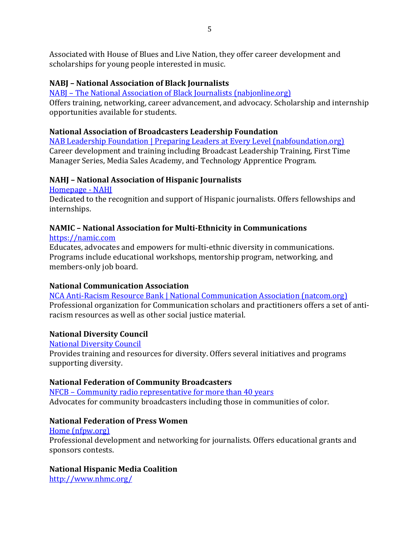Associated with House of Blues and Live Nation, they offer career development and scholarships for young people interested in music.

# **NABJ – National Association of Black Journalists**

NABJ – [The National Association of Black Journalists \(nabjonline.org\)](https://nabjonline.org/)

Offers training, networking, career advancement, and advocacy. Scholarship and internship opportunities available for students.

### **National Association of Broadcasters Leadership Foundation**

[NAB Leadership Foundation | Preparing Leaders at Every Level \(nabfoundation.org\)](https://www.nabfoundation.org/default.asp) Career development and training including Broadcast Leadership Training, First Time Manager Series, Media Sales Academy, and Technology Apprentice Program.

### **NAHJ – National Association of Hispanic Journalists**

[Homepage -](https://nahj.org/) NAHJ

Dedicated to the recognition and support of Hispanic journalists. Offers fellowships and internships.

# **NAMIC – National Association for Multi-Ethnicity in Communications**

[https://namic.com](https://namic.com/)

Educates, advocates and empowers for multi-ethnic diversity in communications. Programs include educational workshops, mentorship program, networking, and members-only job board.

# **National Communication Association**

[NCA Anti-Racism Resource Bank | National Communication Association \(natcom.org\)](https://www.natcom.org/advocacy-public-engagement/nca-anti-racism-resource-bank) Professional organization for Communication scholars and practitioners offers a set of antiracism resources as well as other social justice material.

# **National Diversity Council**

[National Diversity Council](http://www.nationaldiversitycouncil.org/)

Provides training and resources for diversity. Offers several initiatives and programs supporting diversity.

# **National Federation of Community Broadcasters**

NFCB – [Community radio representative for more than 40 years](https://nfcb.org/) Advocates for community broadcasters including those in communities of color.

# **National Federation of Press Women**

[Home \(nfpw.org\)](https://www.nfpw.org/index.php) Professional development and networking for journalists. Offers educational grants and sponsors contests.

# **National Hispanic Media Coalition**

<http://www.nhmc.org/>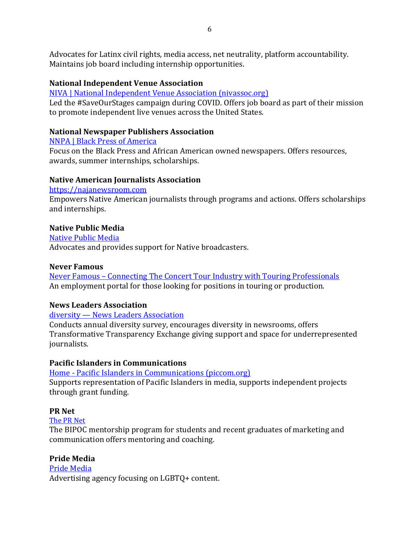Advocates for Latinx civil rights, media access, net neutrality, platform accountability. Maintains job board including internship opportunities.

# **National Independent Venue Association**

[NIVA | National Independent Venue Association \(nivassoc.org\)](https://www.nivassoc.org/)

Led the #SaveOurStages campaign during COVID. Offers job board as part of their mission to promote independent live venues across the United States.

### **National Newspaper Publishers Association**

[NNPA | Black Press of America](https://nnpa.org/)

Focus on the Black Press and African American owned newspapers. Offers resources, awards, summer internships, scholarships.

### **Native American Journalists Association**

[https://najanewsroom.com](https://najanewsroom.com/)

Empowers Native American journalists through programs and actions. Offers scholarships and internships.

### **Native Public Media**

[Native Public Media](https://www.nativepublicmedia.org/) Advocates and provides support for Native broadcasters.

### **Never Famous**

Never Famous – [Connecting The Concert Tour Industry with Touring Professionals](https://neverfamous.com/) An employment portal for those looking for positions in touring or production.

### **News Leaders Association**

diversity — [News Leaders Association](https://www.newsleaders.org/diversity)

Conducts annual diversity survey, encourages diversity in newsrooms, offers Transformative Transparency Exchange giving support and space for underrepresented journalists.

# **Pacific Islanders in Communications**

Home - [Pacific Islanders in Communications \(piccom.org\)](https://www.piccom.org/?) Supports representation of Pacific Islanders in media, supports independent projects through grant funding.

# **PR Net**

[The PR Net](https://theprnet.com/journals/bipoc-mentorship-program-students-graduates-marketing-communications)

The BIPOC mentorship program for students and recent graduates of marketing and communication offers mentoring and coaching.

# **Pride Media**

[Pride Media](https://www.pridemedia.com/) Advertising agency focusing on LGBTQ+ content.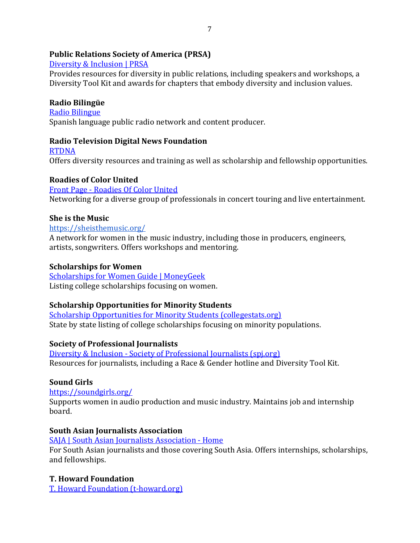### **Public Relations Society of America (PRSA)**

### [Diversity & Inclusion | PRSA](https://www.prsa.org/about/diversity-inclusion)

Provides resources for diversity in public relations, including speakers and workshops, a Diversity Tool Kit and awards for chapters that embody diversity and inclusion values.

### **Radio Bilingüe**

[Radio Bilingue](http://radiobilingue.org/) Spanish language public radio network and content producer.

### **Radio Television Digital News Foundation**

**[RTDNA](https://www.rtdna.org/content/diversity_toolkit)** Offers diversity resources and training as well as scholarship and fellowship opportunities.

### **Roadies of Color United**

Front Page - [Roadies Of Color United](https://www.roadiesofcolorunited.com/) Networking for a diverse group of professionals in concert touring and live entertainment.

### **She is the Music**

#### <https://sheisthemusic.org/>

A network for women in the music industry, including those in producers, engineers, artists, songwriters. Offers workshops and mentoring.

### **Scholarships for Women**

[Scholarships for Women Guide | MoneyGeek](https://www.moneygeek.com/financial-planning/paying-for-college/scholarship-resources/women-guide/) Listing college scholarships focusing on women.

### **Scholarship Opportunities for Minority Students**

[Scholarship Opportunities for Minority Students \(collegestats.org\)](https://collegestats.org/resources/best-scholarships-minorities/) State by state listing of college scholarships focusing on minority populations.

# **Society of Professional Journalists**

Diversity & Inclusion - [Society of Professional Journalists \(spj.org\)](https://www.spj.org/diversity.asp) Resources for journalists, including a Race & Gender hotline and Diversity Tool Kit.

# **Sound Girls**

<https://soundgirls.org/> Supports women in audio production and music industry. Maintains job and internship board.

# **South Asian Journalists Association**

[SAJA | South Asian Journalists Association -](https://saja.org/) Home For South Asian journalists and those covering South Asia. Offers internships, scholarships, and fellowships.

# **T. Howard Foundation**

[T. Howard Foundation \(t-howard.org\)](https://www.t-howard.org/)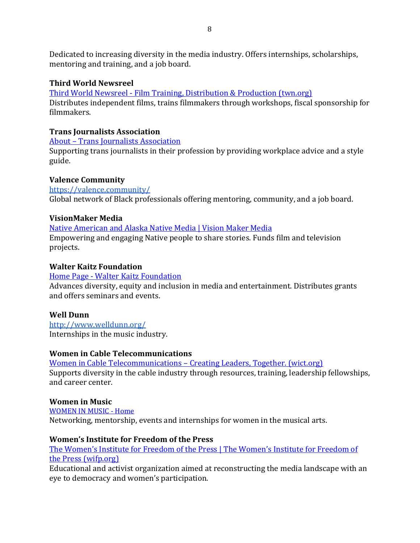Dedicated to increasing diversity in the media industry. Offers internships, scholarships, mentoring and training, and a job board.

### **Third World Newsreel**

Third World Newsreel - [Film Training, Distribution & Production \(twn.org\)](https://www.twn.org/tidydefault.aspx)

Distributes independent films, trains filmmakers through workshops, fiscal sponsorship for filmmakers.

### **Trans Journalists Association**

About – [Trans Journalists Association](https://transjournalists.org/about/)

Supporting trans journalists in their profession by providing workplace advice and a style guide.

### **Valence Community**

<https://valence.community/> Global network of Black professionals offering mentoring, community, and a job board.

### **VisionMaker Media**

[Native American and Alaska Native Media | Vision Maker Media](https://visionmakermedia.org/) Empowering and engaging Native people to share stories. Funds film and television projects.

### **Walter Kaitz Foundation**

### Home Page - [Walter Kaitz Foundation](https://www.walterkaitz.org/)

Advances diversity, equity and inclusion in media and entertainment. Distributes grants and offers seminars and events.

# **Well Dunn**

<http://www.welldunn.org/> Internships in the music industry.

### **Women in Cable Telecommunications**

[Women in Cable Telecommunications](https://www.wict.org/) – Creating Leaders, Together. (wict.org) Supports diversity in the cable industry through resources, training, leadership fellowships, and career center.

### **Women in Music**

[WOMEN IN MUSIC -](https://www.womeninmusic.org/) Home Networking, mentorship, events and internships for women in the musical arts.

### **Women's Institute for Freedom of the Press**

[The Women's Institute for Freedom of the Press | The Women's Institute for Freedom of](https://www.wifp.org/)  [the Press \(wifp.org\)](https://www.wifp.org/)

Educational and activist organization aimed at reconstructing the media landscape with an eye to democracy and women's participation.